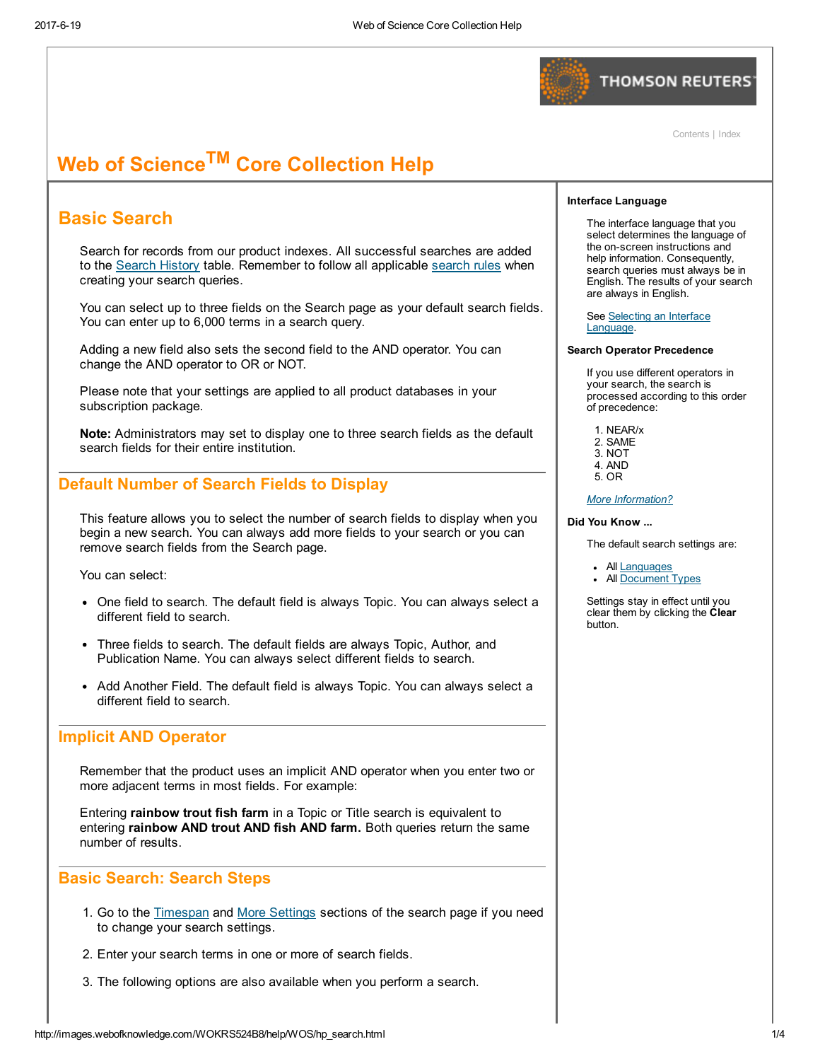

[Contents](http://images.webofknowledge.com/WOKRS524B8/help/WOS/contents.html) | [Index](http://images.webofknowledge.com/WOKRS524B8/help/WOS/index.html)

# Web of Science TM Core Collection Help

# Basic Search

Search for records from our product indexes. All successful searches are added to the [Search](http://images.webofknowledge.com/WOKRS524B8/help/WOS/hp_search_history.html) History table. Remember to follow all applicable [search](http://images.webofknowledge.com/WOKRS524B8/help/WOS/hs_search_rules.html) rules when creating your search queries.

You can select up to three fields on the Search page as your default search fields. You can enter up to 6,000 terms in a search query.

Adding a new field also sets the second field to the AND operator. You can change the AND operator to OR or NOT.

Please note that your settings are applied to all product databases in your subscription package.

Note: Administrators may set to display one to three search fields as the default search fields for their entire institution.

# Default Number of Search Fields to Display

This feature allows you to select the number of search fields to display when you begin a new search. You can always add more fields to your search or you can remove search fields from the Search page.

You can select:

- One field to search. The default field is always Topic. You can always select a different field to search.
- Three fields to search. The default fields are always Topic, Author, and Publication Name. You can always select different fields to search.
- Add Another Field. The default field is always Topic. You can always select a different field to search.

# Implicit AND Operator

Remember that the product uses an implicit AND operator when you enter two or more adjacent terms in most fields. For example:

Entering rainbow trout fish farm in a Topic or Title search is equivalent to entering rainbow AND trout AND fish AND farm. Both queries return the same number of results.

### Basic Search: Search Steps

- 1. Go to the [Timespan](http://images.webofknowledge.com/WOKRS524B8/help/WOS/hp_timespan.html) and More [Settings](http://images.webofknowledge.com/WOKRS524B8/help/WOS/hs_more_settings.html) sections of the search page if you need to change your search settings.
- 2. Enter your search terms in one or more of search fields.
- 3. The following options are also available when you perform a search.

#### Interface Language

The interface language that you select determines the language of the on-screen instructions and help information. Consequently, search queries must always be in English. The results of your search are always in English.

See Selecting an Interface [Language.](http://images.webofknowledge.com/WOKRS524B8/help/WOS/hs_interface_language.html)

#### Search Operator Precedence

If you use different operators in your search, the search is processed according to this order of precedence:

1. NEAR/x 2. SAME 3. NOT 4. AND

5. OR

#### More [Information?](http://images.webofknowledge.com/WOKRS524B8/help/WOS/hs_search_operators.html#dsy863-TRS_search_operator_precedence)

#### Did You Know ...

The default search settings are:

All [Languages](http://images.webofknowledge.com/WOKRS524B8/help/WOS/hs_language.html)

• All [Document](http://images.webofknowledge.com/WOKRS524B8/help/WOS/hs_document_type.html) Types

Settings stay in effect until you clear them by clicking the Clear button.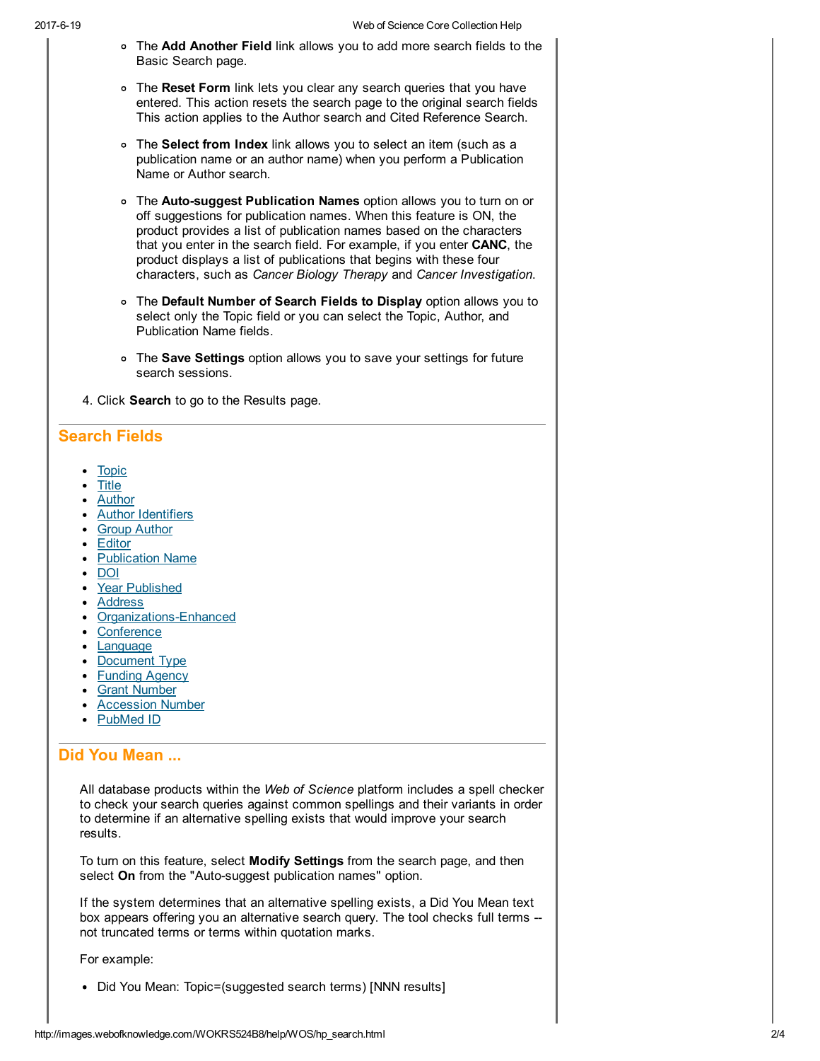- o The Add Another Field link allows you to add more search fields to the Basic Search page.
- o The Reset Form link lets you clear any search queries that you have entered. This action resets the search page to the original search fields This action applies to the Author search and Cited Reference Search.
- The Select from Index link allows you to select an item (such as a publication name or an author name) when you perform a Publication Name or Author search.
- o The Auto-suggest Publication Names option allows you to turn on or off suggestions for publication names. When this feature is ON, the product provides a list of publication names based on the characters that you enter in the search field. For example, if you enter CANC, the product displays a list of publications that begins with these four characters, such as Cancer Biology Therapy and Cancer Investigation.
- o The Default Number of Search Fields to Display option allows you to select only the Topic field or you can select the Topic, Author, and Publication Name fields.
- o The Save Settings option allows you to save your settings for future search sessions.
- 4. Click Search to go to the Results page.

## <span id="page-1-0"></span>Search Fields

- [Topic](http://images.webofknowledge.com/WOKRS524B8/help/WOS/hs_topic.html)
- **[Title](http://images.webofknowledge.com/WOKRS524B8/help/WOS/hs_title.html)**
- [Author](http://images.webofknowledge.com/WOKRS524B8/help/WOS/hs_author.html)
- Author [Identifiers](http://images.webofknowledge.com/WOKRS524B8/help/WOS/hs_researcherid.html)
- Group [Author](http://images.webofknowledge.com/WOKRS524B8/help/WOS/hs_group_author.html)
- **[Editor](http://images.webofknowledge.com/WOKRS524B8/help/WOS/hs_editor.html)**
- [Publication](http://images.webofknowledge.com/WOKRS524B8/help/WOS/hs_publication_name.html) Name
- $\bullet$ [DOI](http://images.webofknowledge.com/WOKRS524B8/help/WOS/hs_doi.html)
- Year [Published](http://images.webofknowledge.com/WOKRS524B8/help/WOS/hs_year_published.html)
- $\bullet$ **[Address](http://images.webofknowledge.com/WOKRS524B8/help/WOS/hs_address.html)**
- Organizations-Enhanced
- [Conference](http://images.webofknowledge.com/WOKRS524B8/help/WOS/hs_conference.html)
- **[Language](http://images.webofknowledge.com/WOKRS524B8/help/WOS/hs_language.html)**
- [Document](http://images.webofknowledge.com/WOKRS524B8/help/WOS/hs_document_type.html) Type
- [Funding](http://images.webofknowledge.com/WOKRS524B8/help/WOS/hs_funding_agency.html) Agency
- Grant [Number](http://images.webofknowledge.com/WOKRS524B8/help/WOS/hs_grant_number.html)
- [Accession](http://images.webofknowledge.com/WOKRS524B8/help/WOS/hs_accession_number.html) Number
- [PubMed](http://images.webofknowledge.com/WOKRS524B8/help/WOS/hs_pubmedid.html) ID

# Did You Mean ...

All database products within the Web of Science platform includes a spell checker to check your search queries against common spellings and their variants in order to determine if an alternative spelling exists that would improve your search results.

To turn on this feature, select Modify Settings from the search page, and then select On from the "Auto-suggest publication names" option.

If the system determines that an alternative spelling exists, a Did You Mean text box appears offering you an alternative search query. The tool checks full terms not truncated terms or terms within quotation marks.

For example:

• Did You Mean: Topic=(suggested search terms) [NNN results]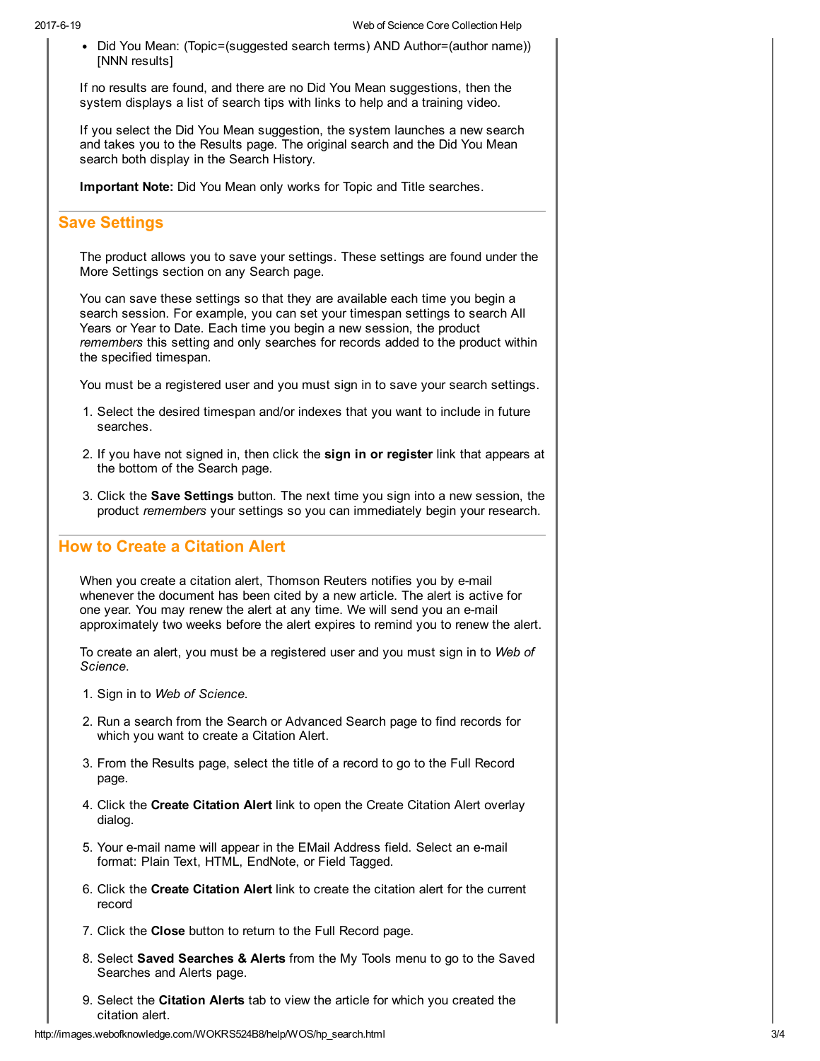• Did You Mean: (Topic=(suggested search terms) AND Author=(author name)) [NNN results]

If no results are found, and there are no Did You Mean suggestions, then the system displays a list of search tips with links to help and a training video.

If you select the Did You Mean suggestion, the system launches a new search and takes you to the Results page. The original search and the Did You Mean search both display in the Search History.

Important Note: Did You Mean only works for Topic and Title searches.

# Save Settings

The product allows you to save your settings. These settings are found under the More Settings section on any Search page.

You can save these settings so that they are available each time you begin a search session. For example, you can set your timespan settings to search All Years or Year to Date. Each time you begin a new session, the product remembers this setting and only searches for records added to the product within the specified timespan.

You must be a registered user and you must sign in to save your search settings.

- 1. Select the desired timespan and/or indexes that you want to include in future searches.
- 2. If you have not signed in, then click the sign in or register link that appears at the bottom of the Search page.
- 3. Click the Save Settings button. The next time you sign into a new session, the product remembers your settings so you can immediately begin your research.

# How to Create a Citation Alert

When you create a citation alert, Thomson Reuters notifies you by e-mail whenever the document has been cited by a new article. The alert is active for one year. You may renew the alert at any time. We will send you an e-mail approximately two weeks before the alert expires to remind you to renew the alert.

To create an alert, you must be a registered user and you must sign in to Web of Science.

- 1. Sign in to Web of Science.
- 2. Run a search from the Search or Advanced Search page to find records for which you want to create a Citation Alert.
- 3. From the Results page, select the title of a record to go to the Full Record page.
- 4. Click the Create Citation Alert link to open the Create Citation Alert overlay dialog.
- 5. Your e-mail name will appear in the EMail Address field. Select an e-mail format: Plain Text, HTML, EndNote, or Field Tagged.
- 6. Click the Create Citation Alert link to create the citation alert for the current record
- 7. Click the Close button to return to the Full Record page.
- 8. Select Saved Searches & Alerts from the My Tools menu to go to the Saved Searches and Alerts page.
- 9. Select the Citation Alerts tab to view the article for which you created the citation alert.